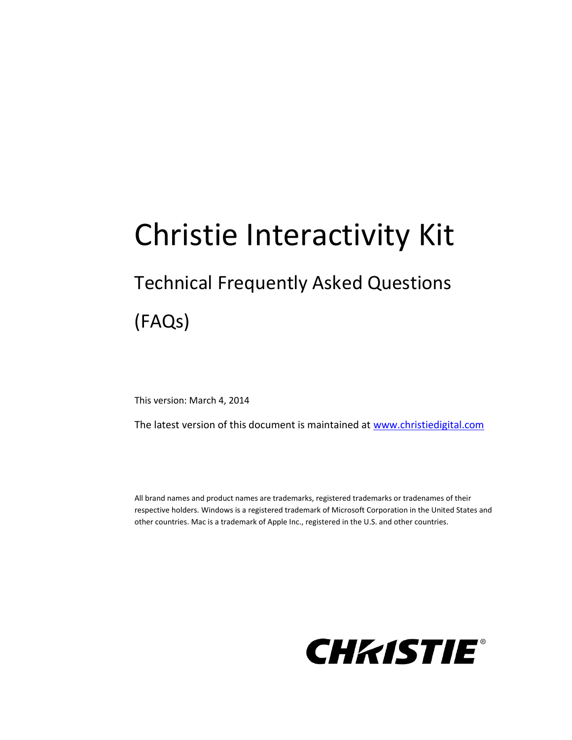# Christie Interactivity Kit

# Technical Frequently Asked Questions

## (FAQs)

This version: March 4, 2014

The latest version of this document is maintained at [www.christiedigital.com](http://www.christiedigital.com/)

All brand names and product names are trademarks, registered trademarks or tradenames of their respective holders. Windows is a registered trademark of Microsoft Corporation in the United States and other countries. Mac is a trademark of Apple Inc., registered in the U.S. and other countries.

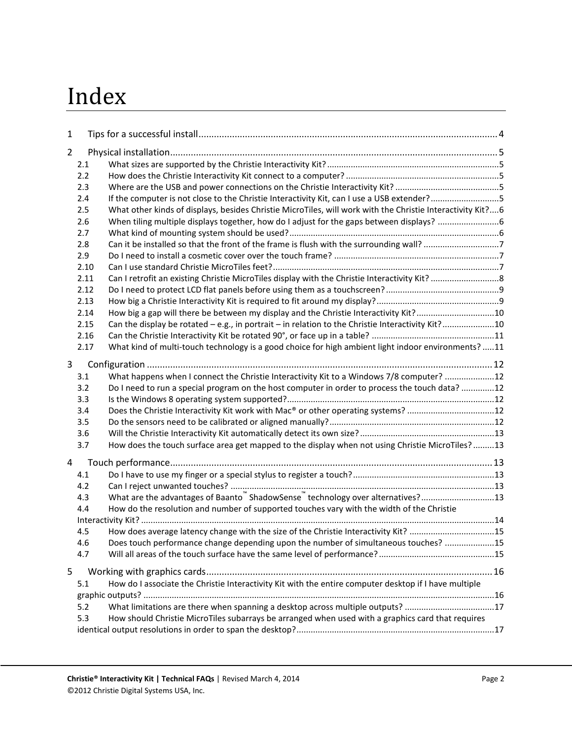# Index

| 1 |      |                                                                                                            |  |
|---|------|------------------------------------------------------------------------------------------------------------|--|
| 2 |      |                                                                                                            |  |
|   | 2.1  |                                                                                                            |  |
|   | 2.2  |                                                                                                            |  |
|   | 2.3  |                                                                                                            |  |
|   | 2.4  | If the computer is not close to the Christie Interactivity Kit, can I use a USB extender?5                 |  |
|   | 2.5  | What other kinds of displays, besides Christie MicroTiles, will work with the Christie Interactivity Kit?6 |  |
|   | 2.6  |                                                                                                            |  |
|   | 2.7  |                                                                                                            |  |
|   | 2.8  |                                                                                                            |  |
|   | 2.9  |                                                                                                            |  |
|   | 2.10 |                                                                                                            |  |
|   | 2.11 |                                                                                                            |  |
|   | 2.12 |                                                                                                            |  |
|   | 2.13 |                                                                                                            |  |
|   | 2.14 | How big a gap will there be between my display and the Christie Interactivity Kit?10                       |  |
|   | 2.15 | Can the display be rotated - e.g., in portrait - in relation to the Christie Interactivity Kit?10          |  |
|   | 2.16 |                                                                                                            |  |
|   | 2.17 | What kind of multi-touch technology is a good choice for high ambient light indoor environments? 11        |  |
|   |      |                                                                                                            |  |
| 3 |      |                                                                                                            |  |
|   | 3.1  | What happens when I connect the Christie Interactivity Kit to a Windows 7/8 computer? 12                   |  |
|   | 3.2  | Do I need to run a special program on the host computer in order to process the touch data? 12             |  |
|   | 3.3  |                                                                                                            |  |
|   | 3.4  | Does the Christie Interactivity Kit work with Mac® or other operating systems? 12                          |  |
|   | 3.5  |                                                                                                            |  |
|   | 3.6  |                                                                                                            |  |
|   | 3.7  | How does the touch surface area get mapped to the display when not using Christie MicroTiles? 13           |  |
| 4 |      |                                                                                                            |  |
|   | 4.1  |                                                                                                            |  |
|   | 4.2  |                                                                                                            |  |
|   | 4.3  | What are the advantages of Baanto "ShadowSense" technology over alternatives?13                            |  |
|   | 4.4  | How do the resolution and number of supported touches vary with the width of the Christie                  |  |
|   |      |                                                                                                            |  |
|   | 4.5  | How does average latency change with the size of the Christie Interactivity Kit? 15                        |  |
|   | 4.6  | Does touch performance change depending upon the number of simultaneous touches? 15                        |  |
|   | 4.7  |                                                                                                            |  |
| 5 |      |                                                                                                            |  |
|   | 5.1  | How do I associate the Christie Interactivity Kit with the entire computer desktop if I have multiple      |  |
|   |      |                                                                                                            |  |
|   | 5.2  | What limitations are there when spanning a desktop across multiple outputs? 17                             |  |
|   | 5.3  | How should Christie MicroTiles subarrays be arranged when used with a graphics card that requires          |  |
|   |      |                                                                                                            |  |
|   |      |                                                                                                            |  |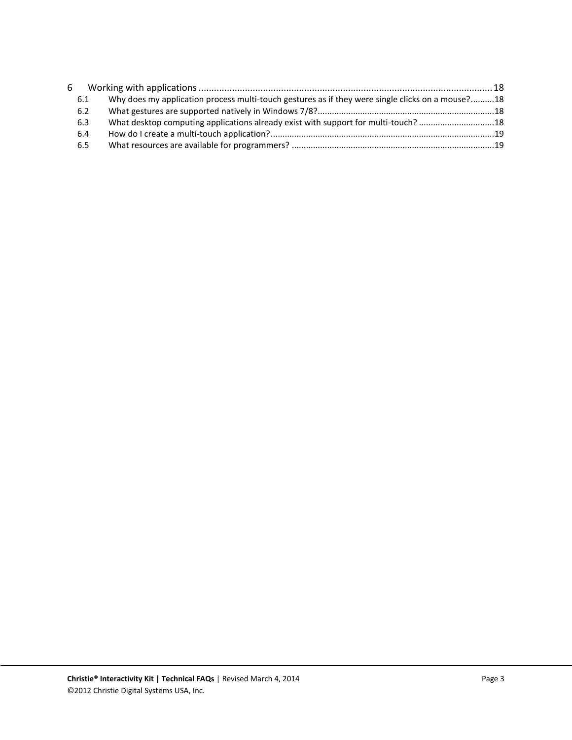| 6 |     |                                                                                                  |  |
|---|-----|--------------------------------------------------------------------------------------------------|--|
|   | 6.1 | Why does my application process multi-touch gestures as if they were single clicks on a mouse?18 |  |
|   | 6.2 |                                                                                                  |  |
|   | 6.3 |                                                                                                  |  |
|   | 6.4 |                                                                                                  |  |
|   | 6.5 |                                                                                                  |  |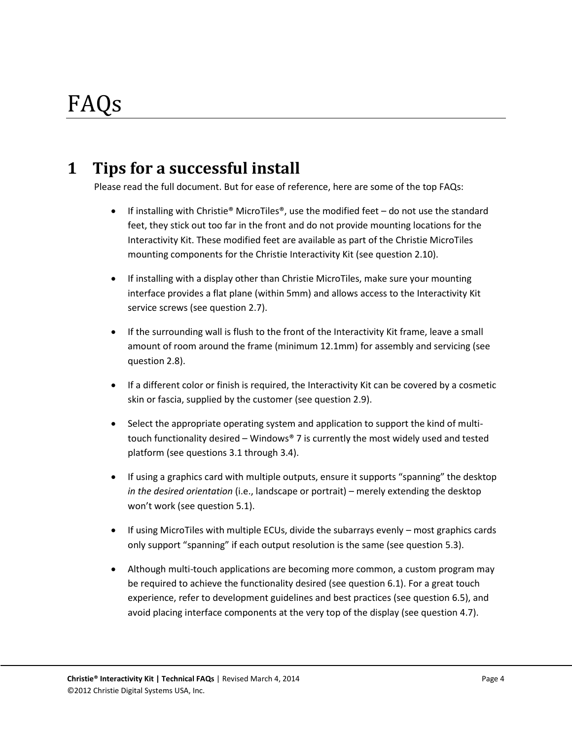### <span id="page-3-0"></span>**1 Tips for a successful install**

Please read the full document. But for ease of reference, here are some of the top FAQs:

- **If installing with Christie® MicroTiles®, use the modified feet do not use the standard** feet, they stick out too far in the front and do not provide mounting locations for the Interactivity Kit. These modified feet are available as part of the Christie MicroTiles mounting components for the Christie Interactivity Kit (see questio[n 2.10\)](#page-6-2).
- If installing with a display other than Christie MicroTiles, make sure your mounting interface provides a flat plane (within 5mm) and allows access to the Interactivity Kit service screws (see question [2.7\)](#page-5-2).
- If the surrounding wall is flush to the front of the Interactivity Kit frame, leave a small amount of room around the frame (minimum 12.1mm) for assembly and servicing (see questio[n 2.8\)](#page-6-0).
- If a different color or finish is required, the Interactivity Kit can be covered by a cosmetic skin or fascia, supplied by the customer (see question [2.9\)](#page-6-1).
- Select the appropriate operating system and application to support the kind of multitouch functionality desired – Windows® 7 is currently the most widely used and tested platform (see questions [3.1](#page-11-1) through [3.4\)](#page-11-4).
- If using a graphics card with multiple outputs, ensure it supports "spanning" the desktop *in the desired orientation* (i.e., landscape or portrait) – merely extending the desktop won't work (see question [5.1\)](#page-15-1).
- If using MicroTiles with multiple ECUs, divide the subarrays evenly most graphics cards only support "spanning" if each output resolution is the same (see question [5.3\)](#page-16-1).
- Although multi-touch applications are becoming more common, a custom program may be required to achieve the functionality desired (see questio[n 6.1\)](#page-17-1). For a great touch experience, refer to development guidelines and best practices (see question [6.5\)](#page-18-1), and avoid placing interface components at the very top of the display (see questio[n 4.7\)](#page-14-2).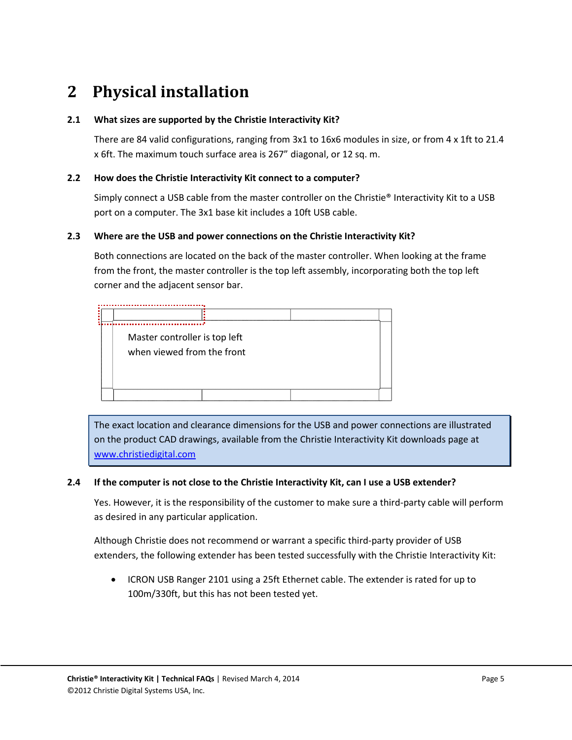### <span id="page-4-0"></span>**2 Physical installation**

#### <span id="page-4-1"></span>**2.1 What sizes are supported by the Christie Interactivity Kit?**

There are 84 valid configurations, ranging from 3x1 to 16x6 modules in size, or from 4 x 1ft to 21.4 x 6ft. The maximum touch surface area is 267" diagonal, or 12 sq. m.

#### <span id="page-4-2"></span>**2.2 How does the Christie Interactivity Kit connect to a computer?**

Simply connect a USB cable from the master controller on the Christie® Interactivity Kit to a USB port on a computer. The 3x1 base kit includes a 10ft USB cable.

#### <span id="page-4-3"></span>**2.3 Where are the USB and power connections on the Christie Interactivity Kit?**

Both connections are located on the back of the master controller. When looking at the frame from the front, the master controller is the top left assembly, incorporating both the top left corner and the adjacent sensor bar.

| Master controller is top left<br>when viewed from the front |  |  |  |  |  |  |  |  |  |
|-------------------------------------------------------------|--|--|--|--|--|--|--|--|--|
|                                                             |  |  |  |  |  |  |  |  |  |

The exact location and clearance dimensions for the USB and power connections are illustrated on the product CAD drawings, available from the Christie Interactivity Kit downloads page at [www.christiedigital.com](http://www.christiedigital.com/)

#### <span id="page-4-4"></span>**2.4 If the computer is not close to the Christie Interactivity Kit, can I use a USB extender?**

Yes. However, it is the responsibility of the customer to make sure a third-party cable will perform as desired in any particular application.

Although Christie does not recommend or warrant a specific third-party provider of USB extenders, the following extender has been tested successfully with the Christie Interactivity Kit:

 ICRON USB Ranger 2101 using a 25ft Ethernet cable. The extender is rated for up to 100m/330ft, but this has not been tested yet.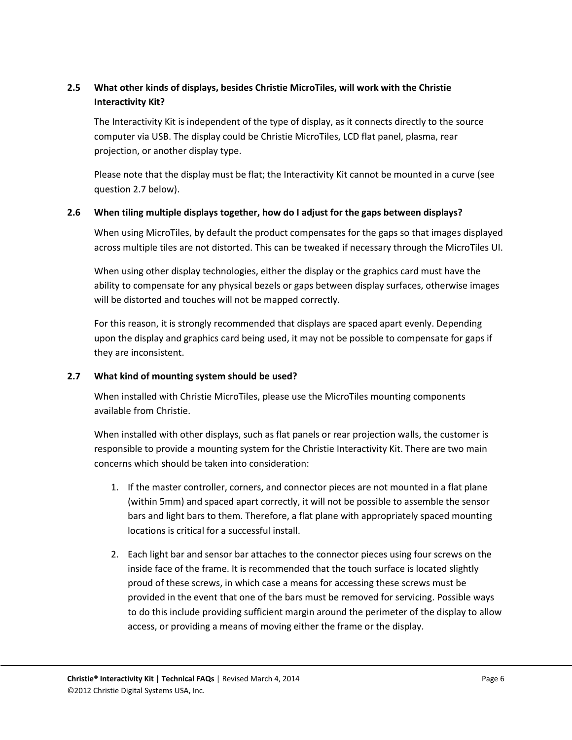#### <span id="page-5-0"></span>**2.5 What other kinds of displays, besides Christie MicroTiles, will work with the Christie Interactivity Kit?**

The Interactivity Kit is independent of the type of display, as it connects directly to the source computer via USB. The display could be Christie MicroTiles, LCD flat panel, plasma, rear projection, or another display type.

Please note that the display must be flat; the Interactivity Kit cannot be mounted in a curve (see questio[n 2.7 below\)](#page-5-2).

#### <span id="page-5-1"></span>**2.6 When tiling multiple displays together, how do I adjust for the gaps between displays?**

When using MicroTiles, by default the product compensates for the gaps so that images displayed across multiple tiles are not distorted. This can be tweaked if necessary through the MicroTiles UI.

When using other display technologies, either the display or the graphics card must have the ability to compensate for any physical bezels or gaps between display surfaces, otherwise images will be distorted and touches will not be mapped correctly.

For this reason, it is strongly recommended that displays are spaced apart evenly. Depending upon the display and graphics card being used, it may not be possible to compensate for gaps if they are inconsistent.

#### <span id="page-5-2"></span>**2.7 What kind of mounting system should be used?**

When installed with Christie MicroTiles, please use the MicroTiles mounting components available from Christie.

When installed with other displays, such as flat panels or rear projection walls, the customer is responsible to provide a mounting system for the Christie Interactivity Kit. There are two main concerns which should be taken into consideration:

- 1. If the master controller, corners, and connector pieces are not mounted in a flat plane (within 5mm) and spaced apart correctly, it will not be possible to assemble the sensor bars and light bars to them. Therefore, a flat plane with appropriately spaced mounting locations is critical for a successful install.
- 2. Each light bar and sensor bar attaches to the connector pieces using four screws on the inside face of the frame. It is recommended that the touch surface is located slightly proud of these screws, in which case a means for accessing these screws must be provided in the event that one of the bars must be removed for servicing. Possible ways to do this include providing sufficient margin around the perimeter of the display to allow access, or providing a means of moving either the frame or the display.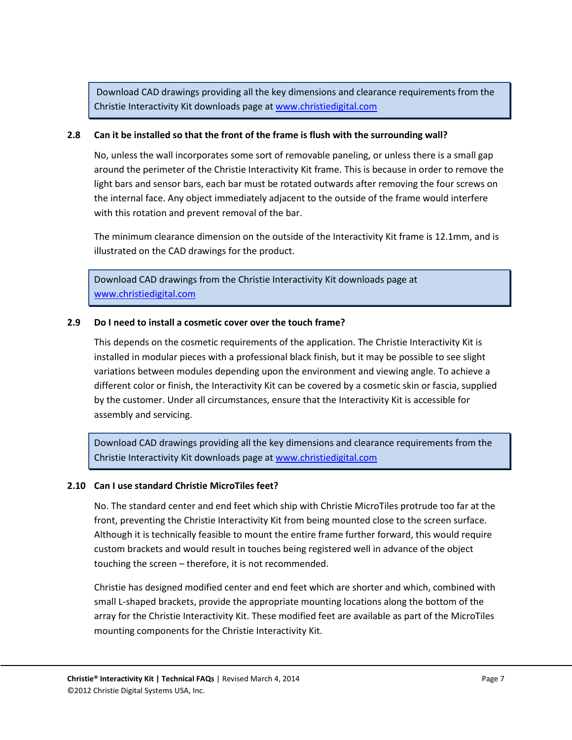Download CAD drawings providing all the key dimensions and clearance requirements from the Christie Interactivity Kit downloads page at [www.christiedigital.com](http://www.christiedigital.com/)

#### <span id="page-6-0"></span>**2.8 Can it be installed so that the front of the frame is flush with the surrounding wall?**

No, unless the wall incorporates some sort of removable paneling, or unless there is a small gap around the perimeter of the Christie Interactivity Kit frame. This is because in order to remove the light bars and sensor bars, each bar must be rotated outwards after removing the four screws on the internal face. Any object immediately adjacent to the outside of the frame would interfere with this rotation and prevent removal of the bar.

The minimum clearance dimension on the outside of the Interactivity Kit frame is 12.1mm, and is illustrated on the CAD drawings for the product.

Download CAD drawings from the Christie Interactivity Kit downloads page at [www.christiedigital.com](http://www.christiedigital.com/)

#### <span id="page-6-1"></span>**2.9 Do I need to install a cosmetic cover over the touch frame?**

This depends on the cosmetic requirements of the application. The Christie Interactivity Kit is installed in modular pieces with a professional black finish, but it may be possible to see slight variations between modules depending upon the environment and viewing angle. To achieve a different color or finish, the Interactivity Kit can be covered by a cosmetic skin or fascia, supplied by the customer. Under all circumstances, ensure that the Interactivity Kit is accessible for assembly and servicing.

Download CAD drawings providing all the key dimensions and clearance requirements from the Christie Interactivity Kit downloads page at [www.christiedigital.com](http://www.christiedigital.com/)

#### <span id="page-6-2"></span>**2.10 Can I use standard Christie MicroTiles feet?**

No. The standard center and end feet which ship with Christie MicroTiles protrude too far at the front, preventing the Christie Interactivity Kit from being mounted close to the screen surface. Although it is technically feasible to mount the entire frame further forward, this would require custom brackets and would result in touches being registered well in advance of the object touching the screen – therefore, it is not recommended.

Christie has designed modified center and end feet which are shorter and which, combined with small L-shaped brackets, provide the appropriate mounting locations along the bottom of the array for the Christie Interactivity Kit. These modified feet are available as part of the MicroTiles mounting components for the Christie Interactivity Kit.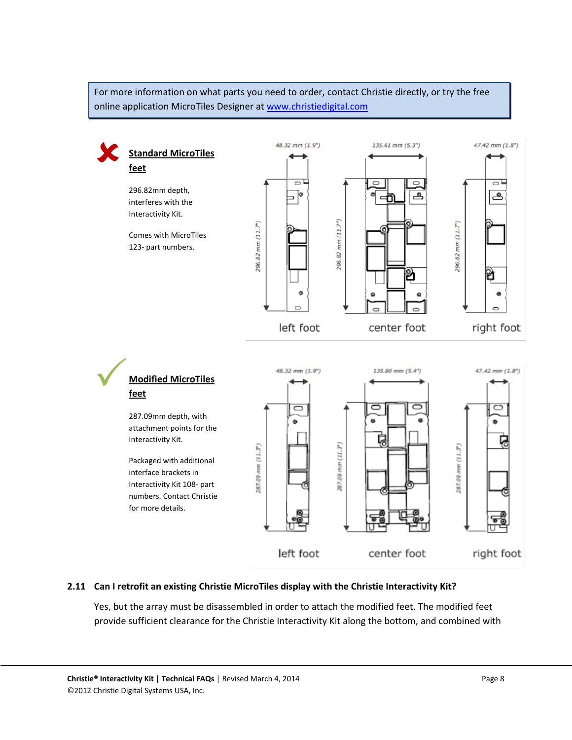For more information on what parts you need to order, contact Christie directly, or try the free online application MicroTiles Designer at [www.christiedigital.com](http://www.christiedigital.com/)



#### <span id="page-7-0"></span>**2.11 Can I retrofit an existing Christie MicroTiles display with the Christie Interactivity Kit?**

Yes, but the array must be disassembled in order to attach the modified feet. The modified feet provide sufficient clearance for the Christie Interactivity Kit along the bottom, and combined with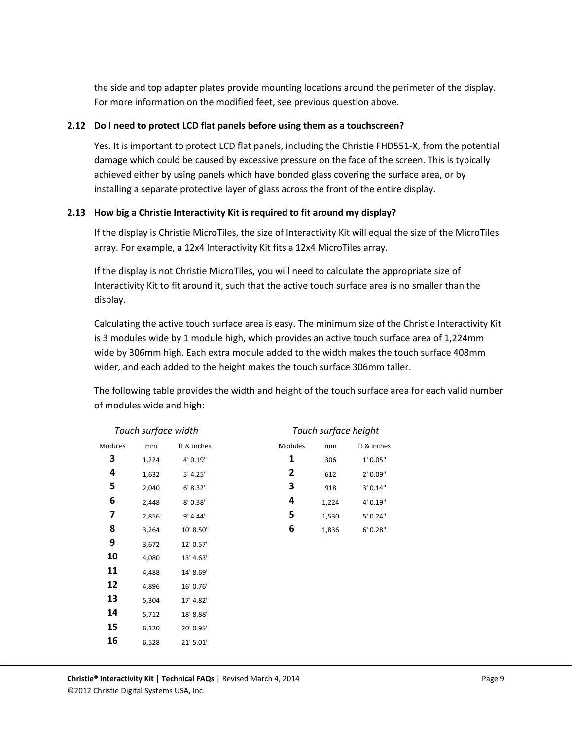the side and top adapter plates provide mounting locations around the perimeter of the display. For more information on the modified feet, see previous question above.

#### <span id="page-8-0"></span>**2.12 Do I need to protect LCD flat panels before using them as a touchscreen?**

Yes. It is important to protect LCD flat panels, including the Christie FHD551-X, from the potential damage which could be caused by excessive pressure on the face of the screen. This is typically achieved either by using panels which have bonded glass covering the surface area, or by installing a separate protective layer of glass across the front of the entire display.

#### <span id="page-8-1"></span>**2.13 How big a Christie Interactivity Kit is required to fit around my display?**

If the display is Christie MicroTiles, the size of Interactivity Kit will equal the size of the MicroTiles array. For example, a 12x4 Interactivity Kit fits a 12x4 MicroTiles array.

If the display is not Christie MicroTiles, you will need to calculate the appropriate size of Interactivity Kit to fit around it, such that the active touch surface area is no smaller than the display.

Calculating the active touch surface area is easy. The minimum size of the Christie Interactivity Kit is 3 modules wide by 1 module high, which provides an active touch surface area of 1,224mm wide by 306mm high. Each extra module added to the width makes the touch surface 408mm wider, and each added to the height makes the touch surface 306mm taller.

The following table provides the width and height of the touch surface area for each valid number of modules wide and high:

|         | Touch surface width |             | Touch surface height |       |             |  |  |  |  |
|---------|---------------------|-------------|----------------------|-------|-------------|--|--|--|--|
| Modules | mm                  | ft & inches | Modules              | mm    | ft & inches |  |  |  |  |
| 3       | 1,224               | 4' 0.19"    | 1                    | 306   | 1' 0.05"    |  |  |  |  |
| 4       | 1,632               | 5' 4.25"    | 2                    | 612   | 2' 0.09"    |  |  |  |  |
| 5       | 2,040               | 6' 8.32"    | 3                    | 918   | 3' 0.14"    |  |  |  |  |
| 6       | 2,448               | 8'0.38"     | 4                    | 1,224 | 4' 0.19"    |  |  |  |  |
| 7       | 2,856               | 9' 4.44"    | 5                    | 1,530 | 5' 0.24"    |  |  |  |  |
| 8       | 3,264               | 10' 8.50"   | 6                    | 1,836 | 6' 0.28"    |  |  |  |  |
| 9       | 3,672               | 12' 0.57"   |                      |       |             |  |  |  |  |
| 10      | 4,080               | 13' 4.63"   |                      |       |             |  |  |  |  |
| 11      | 4,488               | 14' 8.69"   |                      |       |             |  |  |  |  |
| 12      | 4,896               | 16' 0.76"   |                      |       |             |  |  |  |  |
| 13      | 5,304               | 17' 4.82"   |                      |       |             |  |  |  |  |
| 14      | 5,712               | 18' 8.88"   |                      |       |             |  |  |  |  |
| 15      | 6,120               | 20' 0.95"   |                      |       |             |  |  |  |  |
| 16      | 6,528               | 21' 5.01"   |                      |       |             |  |  |  |  |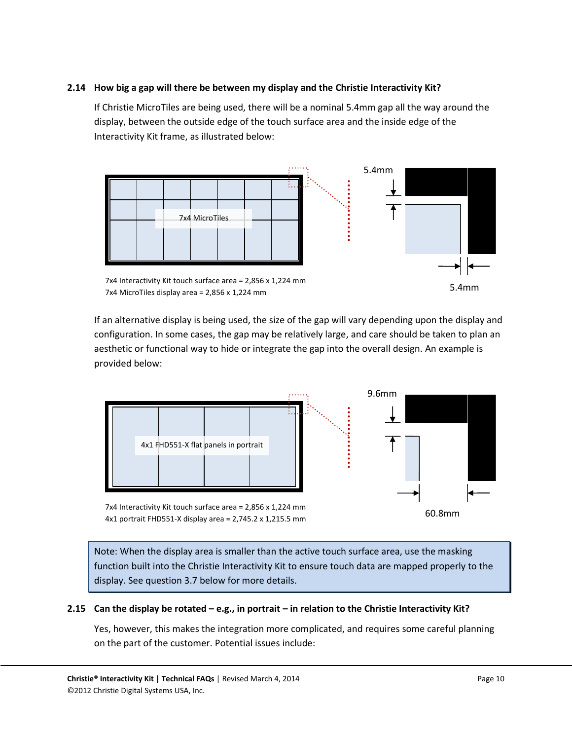#### <span id="page-9-0"></span>**2.14 How big a gap will there be between my display and the Christie Interactivity Kit?**

If Christie MicroTiles are being used, there will be a nominal 5.4mm gap all the way around the display, between the outside edge of the touch surface area and the inside edge of the Interactivity Kit frame, as illustrated below:



7x4 Interactivity Kit touch surface area = 2,856 x 1,224 mm 7x4 MicroTiles display area = 2,856 x 1,224 mm

If an alternative display is being used, the size of the gap will vary depending upon the display and configuration. In some cases, the gap may be relatively large, and care should be taken to plan an aesthetic or functional way to hide or integrate the gap into the overall design. An example is provided below:



7x4 Interactivity Kit touch surface area = 2,856 x 1,224 mm 4x1 portrait FHD551-X display area = 2,745.2 x 1,215.5 mm

Note: When the display area is smaller than the active touch surface area, use the masking function built into the Christie Interactivity Kit to ensure touch data are mapped properly to the display. See question [3.7 below](#page-12-1) for more details.

#### <span id="page-9-1"></span>**2.15 Can the display be rotated – e.g., in portrait – in relation to the Christie Interactivity Kit?**

Yes, however, this makes the integration more complicated, and requires some careful planning on the part of the customer. Potential issues include:

5.4mm

60.8mm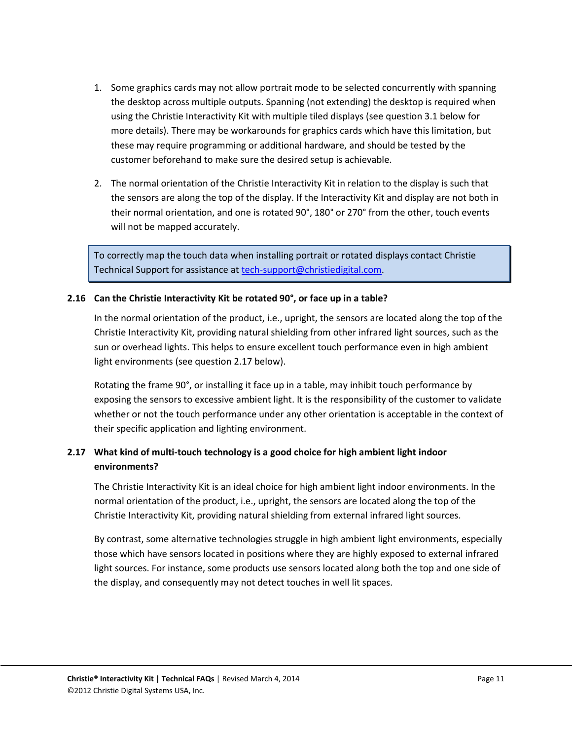- 1. Some graphics cards may not allow portrait mode to be selected concurrently with spanning the desktop across multiple outputs. Spanning (not extending) the desktop is required when using the Christie Interactivity Kit with multiple tiled displays (see question 3.1 below for more details). There may be workarounds for graphics cards which have this limitation, but these may require programming or additional hardware, and should be tested by the customer beforehand to make sure the desired setup is achievable.
- 2. The normal orientation of the Christie Interactivity Kit in relation to the display is such that the sensors are along the top of the display. If the Interactivity Kit and display are not both in their normal orientation, and one is rotated 90°, 180° or 270° from the other, touch events will not be mapped accurately.

To correctly map the touch data when installing portrait or rotated displays contact Christie Technical Support for assistance a[t tech-support@christiedigital.com.](mailto:tech-support@christiedigital.com)

#### <span id="page-10-0"></span>**2.16 Can the Christie Interactivity Kit be rotated 90°, or face up in a table?**

In the normal orientation of the product, i.e., upright, the sensors are located along the top of the Christie Interactivity Kit, providing natural shielding from other infrared light sources, such as the sun or overhead lights. This helps to ensure excellent touch performance even in high ambient light environments (see questio[n 2.17 below\)](#page-10-1).

Rotating the frame 90°, or installing it face up in a table, may inhibit touch performance by exposing the sensors to excessive ambient light. It is the responsibility of the customer to validate whether or not the touch performance under any other orientation is acceptable in the context of their specific application and lighting environment.

#### <span id="page-10-1"></span>**2.17 What kind of multi-touch technology is a good choice for high ambient light indoor environments?**

The Christie Interactivity Kit is an ideal choice for high ambient light indoor environments. In the normal orientation of the product, i.e., upright, the sensors are located along the top of the Christie Interactivity Kit, providing natural shielding from external infrared light sources.

By contrast, some alternative technologies struggle in high ambient light environments, especially those which have sensors located in positions where they are highly exposed to external infrared light sources. For instance, some products use sensors located along both the top and one side of the display, and consequently may not detect touches in well lit spaces.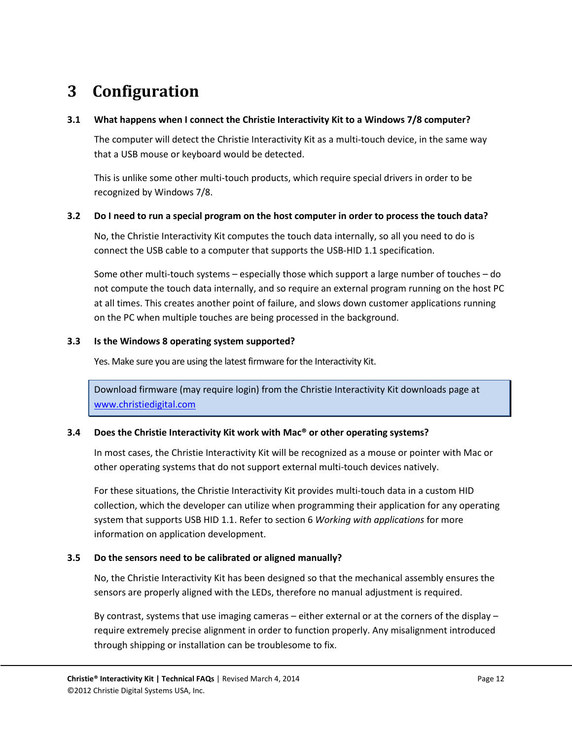### <span id="page-11-0"></span>**3 Configuration**

#### <span id="page-11-1"></span>**3.1 What happens when I connect the Christie Interactivity Kit to a Windows 7/8 computer?**

The computer will detect the Christie Interactivity Kit as a multi-touch device, in the same way that a USB mouse or keyboard would be detected.

This is unlike some other multi-touch products, which require special drivers in order to be recognized by Windows 7/8.

#### <span id="page-11-2"></span>**3.2 Do I need to run a special program on the host computer in order to process the touch data?**

No, the Christie Interactivity Kit computes the touch data internally, so all you need to do is connect the USB cable to a computer that supports the USB-HID 1.1 specification.

Some other multi-touch systems – especially those which support a large number of touches – do not compute the touch data internally, and so require an external program running on the host PC at all times. This creates another point of failure, and slows down customer applications running on the PC when multiple touches are being processed in the background.

#### <span id="page-11-3"></span>**3.3 Is the Windows 8 operating system supported?**

Yes. Make sure you are using the latest firmware for the Interactivity Kit.

Download firmware (may require login) from the Christie Interactivity Kit downloads page at [www.christiedigital.com](http://www.christiedigital.com/)

#### <span id="page-11-4"></span>**3.4 Does the Christie Interactivity Kit work with Mac® or other operating systems?**

In most cases, the Christie Interactivity Kit will be recognized as a mouse or pointer with Mac or other operating systems that do not support external multi-touch devices natively.

For these situations, the Christie Interactivity Kit provides multi-touch data in a custom HID collection, which the developer can utilize when programming their application for any operating system that supports USB HID 1.1. Refer to sectio[n 6](#page-17-0) *[Working with applications](#page-17-0)* for more information on application development.

#### <span id="page-11-5"></span>**3.5 Do the sensors need to be calibrated or aligned manually?**

No, the Christie Interactivity Kit has been designed so that the mechanical assembly ensures the sensors are properly aligned with the LEDs, therefore no manual adjustment is required.

By contrast, systems that use imaging cameras – either external or at the corners of the display – require extremely precise alignment in order to function properly. Any misalignment introduced through shipping or installation can be troublesome to fix.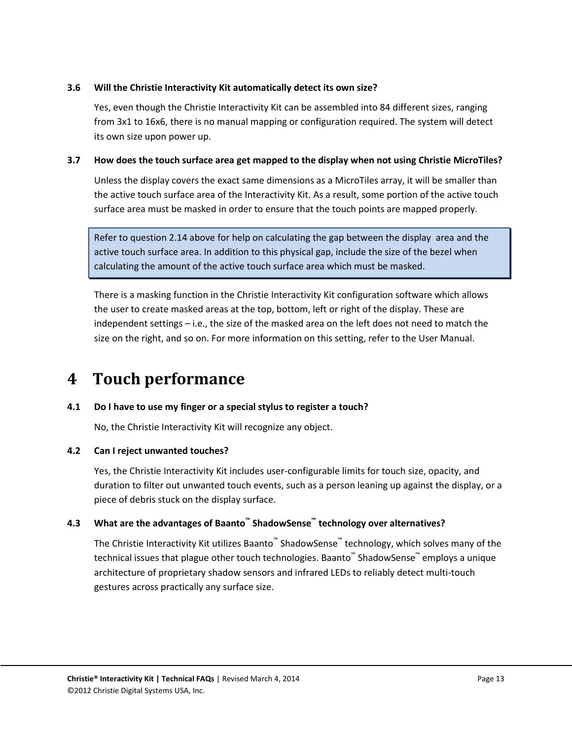#### <span id="page-12-0"></span>**3.6 Will the Christie Interactivity Kit automatically detect its own size?**

Yes, even though the Christie Interactivity Kit can be assembled into 84 different sizes, ranging from 3x1 to 16x6, there is no manual mapping or configuration required. The system will detect its own size upon power up.

#### <span id="page-12-1"></span>**3.7 How does the touch surface area get mapped to the display when not using Christie MicroTiles?**

Unless the display covers the exact same dimensions as a MicroTiles array, it will be smaller than the active touch surface area of the Interactivity Kit. As a result, some portion of the active touch surface area must be masked in order to ensure that the touch points are mapped properly.

Refer to question [2.14 above](#page-9-0) for help on calculating the gap between the display area and the active touch surface area. In addition to this physical gap, include the size of the bezel when calculating the amount of the active touch surface area which must be masked.

There is a masking function in the Christie Interactivity Kit configuration software which allows the user to create masked areas at the top, bottom, left or right of the display. These are independent settings – i.e., the size of the masked area on the left does not need to match the size on the right, and so on. For more information on this setting, refer to the User Manual.

### <span id="page-12-2"></span>**4 Touch performance**

#### <span id="page-12-3"></span>**4.1 Do I have to use my finger or a special stylus to register a touch?**

No, the Christie Interactivity Kit will recognize any object.

#### <span id="page-12-4"></span>**4.2 Can I reject unwanted touches?**

Yes, the Christie Interactivity Kit includes user-configurable limits for touch size, opacity, and duration to filter out unwanted touch events, such as a person leaning up against the display, or a piece of debris stuck on the display surface.

#### <span id="page-12-5"></span>**4.3 What are the advantages of Baanto™ ShadowSense™ technology over alternatives?**

The Christie Interactivity Kit utilizes Baanto™ ShadowSense™ technology, which solves many of the technical issues that plague other touch technologies. Baanto™ ShadowSense™ employs a unique architecture of proprietary shadow sensors and infrared LEDs to reliably detect multi-touch gestures across practically any surface size.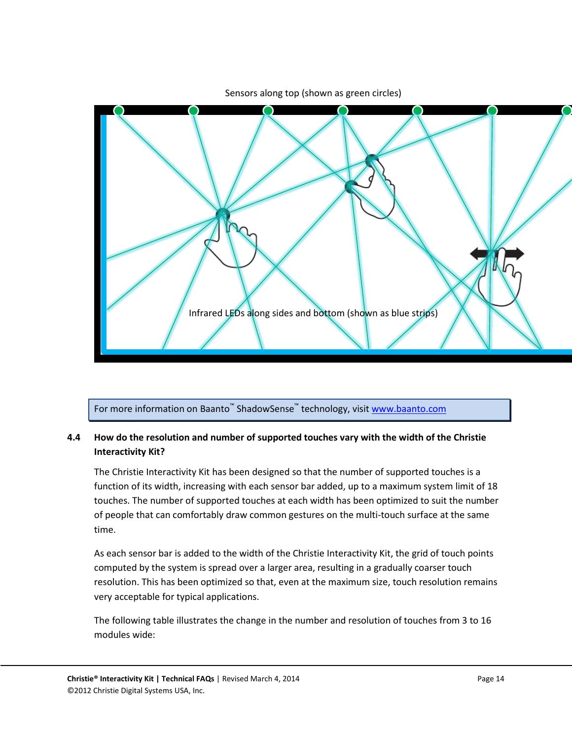

Sensors along top (shown as green circles)

For more information on Baanto<sup>™</sup> ShadowSense<sup>™</sup> technology, visit <u>[www.baanto.com](http://www.baanto.com/)</u>

#### <span id="page-13-0"></span>**4.4 How do the resolution and number of supported touches vary with the width of the Christie Interactivity Kit?**

The Christie Interactivity Kit has been designed so that the number of supported touches is a function of its width, increasing with each sensor bar added, up to a maximum system limit of 18 touches. The number of supported touches at each width has been optimized to suit the number of people that can comfortably draw common gestures on the multi-touch surface at the same time.

As each sensor bar is added to the width of the Christie Interactivity Kit, the grid of touch points computed by the system is spread over a larger area, resulting in a gradually coarser touch resolution. This has been optimized so that, even at the maximum size, touch resolution remains very acceptable for typical applications.

The following table illustrates the change in the number and resolution of touches from 3 to 16 modules wide: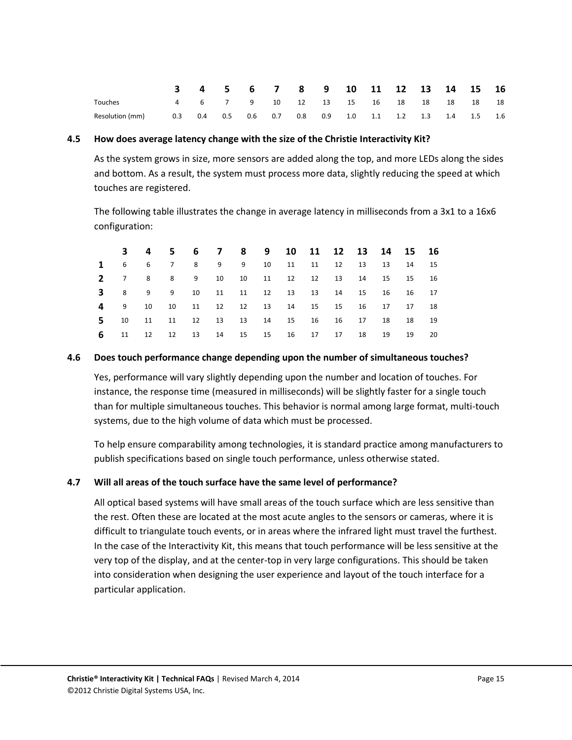|                 |     |     |     |           | 3 4 5 6 7 8 9 10 11 12 13 14 15 16    |  |  |  |                                     |  |
|-----------------|-----|-----|-----|-----------|---------------------------------------|--|--|--|-------------------------------------|--|
| Touches         |     |     |     |           | 4 6 7 9 10 12 13 15 16 18 18 18 18 18 |  |  |  |                                     |  |
| Resolution (mm) | 0.3 | 0.4 | 0.5 | $0.6$ 0.7 |                                       |  |  |  | 0.8 0.9 1.0 1.1 1.2 1.3 1.4 1.5 1.6 |  |

#### <span id="page-14-0"></span>**4.5 How does average latency change with the size of the Christie Interactivity Kit?**

As the system grows in size, more sensors are added along the top, and more LEDs along the sides and bottom. As a result, the system must process more data, slightly reducing the speed at which touches are registered.

The following table illustrates the change in average latency in milliseconds from a 3x1 to a 16x6 configuration:

|  |  | 3 4 5 6 7 8 9 10 11 12 13 14 15 16              |  |  |  |  |      |
|--|--|-------------------------------------------------|--|--|--|--|------|
|  |  | 1 6 6 7 8 9 9 10 11 11 12 13 13 14 15           |  |  |  |  |      |
|  |  | 2 7 8 8 9 10 10 11 12 12 13 14 15 15 16         |  |  |  |  |      |
|  |  | <b>3</b> 8 9 9 10 11 11 12 13 13 14 15 16 16 17 |  |  |  |  |      |
|  |  | 4 9 10 10 11 12 12 13 14 15 15 16 17 17 18      |  |  |  |  |      |
|  |  | 5 10 11 11 12 13 13 14 15 16 16 17 18 18 19     |  |  |  |  |      |
|  |  | <b>6</b> 11 12 12 13 14 15 15 16 17 17 18 19 19 |  |  |  |  | - 20 |

#### <span id="page-14-1"></span>**4.6 Does touch performance change depending upon the number of simultaneous touches?**

Yes, performance will vary slightly depending upon the number and location of touches. For instance, the response time (measured in milliseconds) will be slightly faster for a single touch than for multiple simultaneous touches. This behavior is normal among large format, multi-touch systems, due to the high volume of data which must be processed.

To help ensure comparability among technologies, it is standard practice among manufacturers to publish specifications based on single touch performance, unless otherwise stated.

#### <span id="page-14-2"></span>**4.7 Will all areas of the touch surface have the same level of performance?**

All optical based systems will have small areas of the touch surface which are less sensitive than the rest. Often these are located at the most acute angles to the sensors or cameras, where it is difficult to triangulate touch events, or in areas where the infrared light must travel the furthest. In the case of the Interactivity Kit, this means that touch performance will be less sensitive at the very top of the display, and at the center-top in very large configurations. This should be taken into consideration when designing the user experience and layout of the touch interface for a particular application.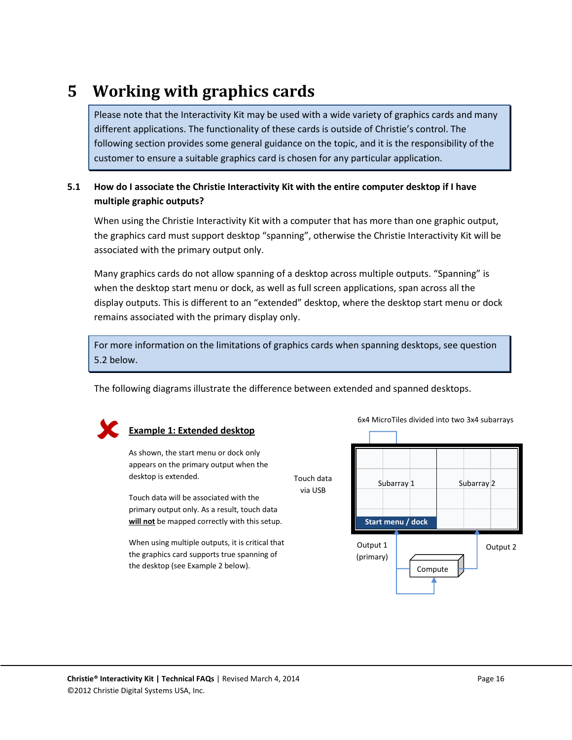### <span id="page-15-0"></span>**5 Working with graphics cards**

Please note that the Interactivity Kit may be used with a wide variety of graphics cards and many different applications. The functionality of these cards is outside of Christie's control. The following section provides some general guidance on the topic, and it is the responsibility of the customer to ensure a suitable graphics card is chosen for any particular application.

#### <span id="page-15-1"></span>**5.1 How do I associate the Christie Interactivity Kit with the entire computer desktop if I have multiple graphic outputs?**

When using the Christie Interactivity Kit with a computer that has more than one graphic output, the graphics card must support desktop "spanning", otherwise the Christie Interactivity Kit will be associated with the primary output only.

Many graphics cards do not allow spanning of a desktop across multiple outputs. "Spanning" is when the desktop start menu or dock, as well as full screen applications, span across all the display outputs. This is different to an "extended" desktop, where the desktop start menu or dock remains associated with the primary display only.

For more information on the limitations of graphics cards when spanning desktops, see question [5.2 below.](#page-16-0)

The following diagrams illustrate the difference between extended and spanned desktops.



#### **Example 1: Extended desktop**

As shown, the start menu or dock only appears on the primary output when the desktop is extended.

Touch data will be associated with the primary output only. As a result, touch data **will not** be mapped correctly with this setup.

When using multiple outputs, it is critical that the graphics card supports true spanning of the desktop (see Example 2 below).

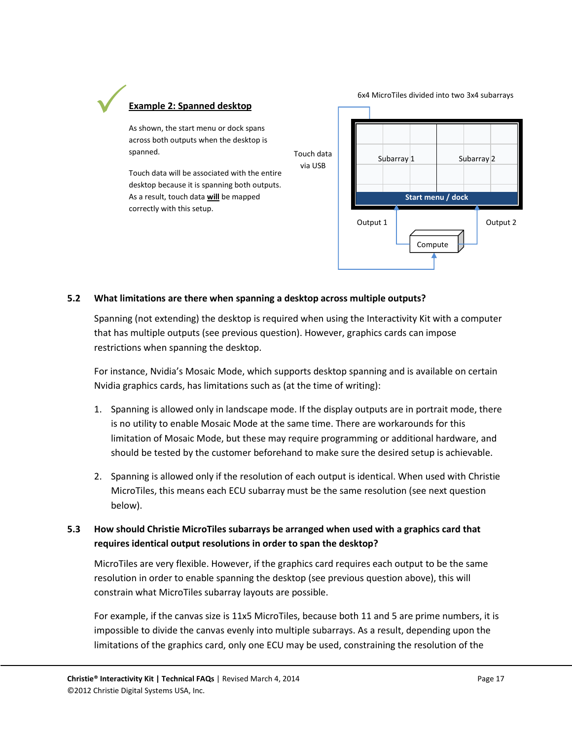## **Example 2: Spanned desktop**  $\checkmark$

As shown, the start menu or dock spans across both outputs when the desktop is spanned.

Touch data will be associated with the entire desktop because it is spanning both outputs. As a result, touch data **will** be mapped correctly with this setup.



#### <span id="page-16-0"></span>**5.2 What limitations are there when spanning a desktop across multiple outputs?**

Spanning (not extending) the desktop is required when using the Interactivity Kit with a computer that has multiple outputs (see previous question). However, graphics cards can impose restrictions when spanning the desktop.

For instance, Nvidia's Mosaic Mode, which supports desktop spanning and is available on certain Nvidia graphics cards, has limitations such as (at the time of writing):

- 1. Spanning is allowed only in landscape mode. If the display outputs are in portrait mode, there is no utility to enable Mosaic Mode at the same time. There are workarounds for this limitation of Mosaic Mode, but these may require programming or additional hardware, and should be tested by the customer beforehand to make sure the desired setup is achievable.
- 2. Spanning is allowed only if the resolution of each output is identical. When used with Christie MicroTiles, this means each ECU subarray must be the same resolution (see next question below).

#### <span id="page-16-1"></span>**5.3 How should Christie MicroTiles subarrays be arranged when used with a graphics card that requires identical output resolutions in order to span the desktop?**

MicroTiles are very flexible. However, if the graphics card requires each output to be the same resolution in order to enable spanning the desktop (see previous question above), this will constrain what MicroTiles subarray layouts are possible.

For example, if the canvas size is 11x5 MicroTiles, because both 11 and 5 are prime numbers, it is impossible to divide the canvas evenly into multiple subarrays. As a result, depending upon the limitations of the graphics card, only one ECU may be used, constraining the resolution of the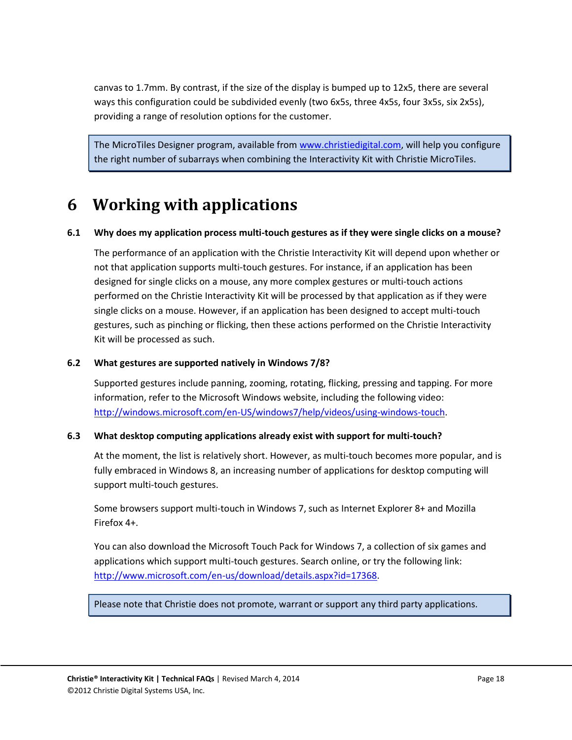canvas to 1.7mm. By contrast, if the size of the display is bumped up to 12x5, there are several ways this configuration could be subdivided evenly (two 6x5s, three 4x5s, four 3x5s, six 2x5s), providing a range of resolution options for the customer.

The MicroTiles Designer program, available fro[m www.christiedigital.com,](http://www.christiedigital.com/) will help you configure the right number of subarrays when combining the Interactivity Kit with Christie MicroTiles.

### <span id="page-17-0"></span>**6 Working with applications**

#### <span id="page-17-1"></span>**6.1 Why does my application process multi-touch gestures as if they were single clicks on a mouse?**

The performance of an application with the Christie Interactivity Kit will depend upon whether or not that application supports multi-touch gestures. For instance, if an application has been designed for single clicks on a mouse, any more complex gestures or multi-touch actions performed on the Christie Interactivity Kit will be processed by that application as if they were single clicks on a mouse. However, if an application has been designed to accept multi-touch gestures, such as pinching or flicking, then these actions performed on the Christie Interactivity Kit will be processed as such.

#### <span id="page-17-2"></span>**6.2 What gestures are supported natively in Windows 7/8?**

Supported gestures include panning, zooming, rotating, flicking, pressing and tapping. For more information, refer to the Microsoft Windows website, including the following video: [http://windows.microsoft.com/en-US/windows7/help/videos/using-windows-touch.](http://windows.microsoft.com/en-US/windows7/help/videos/using-windows-touch)

#### <span id="page-17-3"></span>**6.3 What desktop computing applications already exist with support for multi-touch?**

At the moment, the list is relatively short. However, as multi-touch becomes more popular, and is fully embraced in Windows 8, an increasing number of applications for desktop computing will support multi-touch gestures.

Some browsers support multi-touch in Windows 7, such as Internet Explorer 8+ and Mozilla Firefox 4+.

You can also download the Microsoft Touch Pack for Windows 7, a collection of six games and applications which support multi-touch gestures. Search online, or try the following link: [http://www.microsoft.com/en-us/download/details.aspx?id=17368.](http://www.microsoft.com/en-us/download/details.aspx?id=17368)

Please note that Christie does not promote, warrant or support any third party applications.